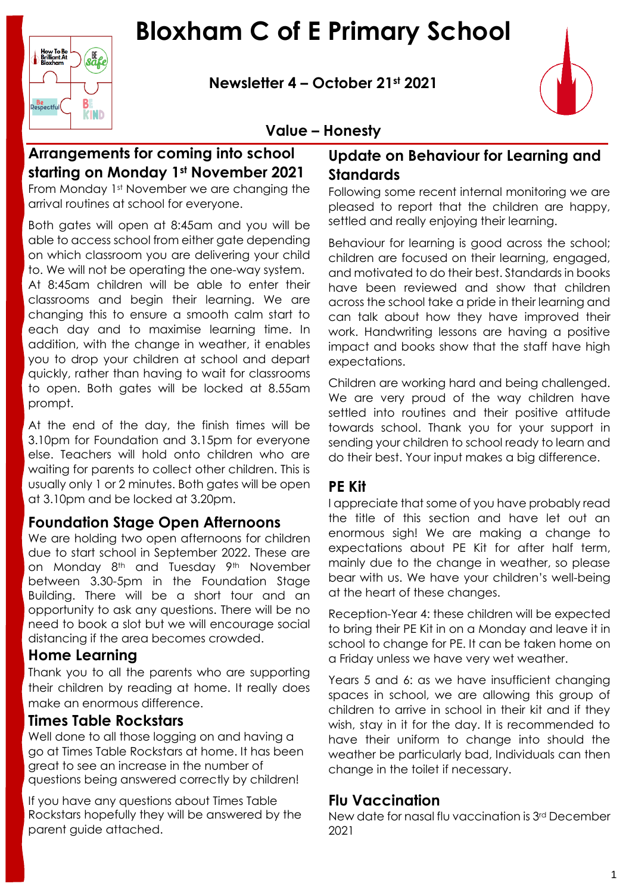# **Bloxham C of E Primary School**

**Newsletter 4 – October 21st 2021**



## **Value – Honesty**

# **Arrangements for coming into school starting on Monday 1st November 2021**

How To Be<br>Brilliant At<br>Bloxham

**Be**<br>Respectful

safe

 $B$ 

**KIND** 

From Monday 1st November we are changing the arrival routines at school for everyone.

Both gates will open at 8:45am and you will be able to access school from either gate depending on which classroom you are delivering your child to. We will not be operating the one-way system.

At 8:45am children will be able to enter their classrooms and begin their learning. We are changing this to ensure a smooth calm start to each day and to maximise learning time. In addition, with the change in weather, it enables you to drop your children at school and depart quickly, rather than having to wait for classrooms to open. Both gates will be locked at 8.55am prompt.

At the end of the day, the finish times will be 3.10pm for Foundation and 3.15pm for everyone else. Teachers will hold onto children who are waiting for parents to collect other children. This is usually only 1 or 2 minutes. Both gates will be open at 3.10pm and be locked at 3.20pm.

### **Foundation Stage Open Afternoons**

We are holding two open afternoons for children due to start school in September 2022. These are on Monday 8<sup>th</sup> and Tuesday 9<sup>th</sup> November between 3.30-5pm in the Foundation Stage Building. There will be a short tour and an opportunity to ask any questions. There will be no need to book a slot but we will encourage social distancing if the area becomes crowded.

### **Home Learning**

Thank you to all the parents who are supporting their children by reading at home. It really does make an enormous difference.

### **Times Table Rockstars**

Well done to all those logging on and having a go at Times Table Rockstars at home. It has been great to see an increase in the number of questions being answered correctly by children!

If you have any questions about Times Table Rockstars hopefully they will be answered by the parent guide attached.

## **Update on Behaviour for Learning and Standards**

Following some recent internal monitoring we are pleased to report that the children are happy, settled and really enjoying their learning.

Behaviour for learning is good across the school; children are focused on their learning, engaged, and motivated to do their best. Standards in books have been reviewed and show that children across the school take a pride in their learning and can talk about how they have improved their work. Handwriting lessons are having a positive impact and books show that the staff have high expectations.

Children are working hard and being challenged. We are very proud of the way children have settled into routines and their positive attitude towards school. Thank you for your support in sending your children to school ready to learn and do their best. Your input makes a big difference.

#### **PE Kit**

I appreciate that some of you have probably read the title of this section and have let out an enormous sigh! We are making a change to expectations about PE Kit for after half term, mainly due to the change in weather, so please bear with us. We have your children's well-being at the heart of these changes.

Reception-Year 4: these children will be expected to bring their PE Kit in on a Monday and leave it in school to change for PE. It can be taken home on a Friday unless we have very wet weather.

Years 5 and 6: as we have insufficient chanaina spaces in school, we are allowing this group of children to arrive in school in their kit and if they wish, stay in it for the day. It is recommended to have their uniform to change into should the weather be particularly bad, Individuals can then change in the toilet if necessary.

### **Flu Vaccination**

New date for nasal flu vaccination is 3rd December 2021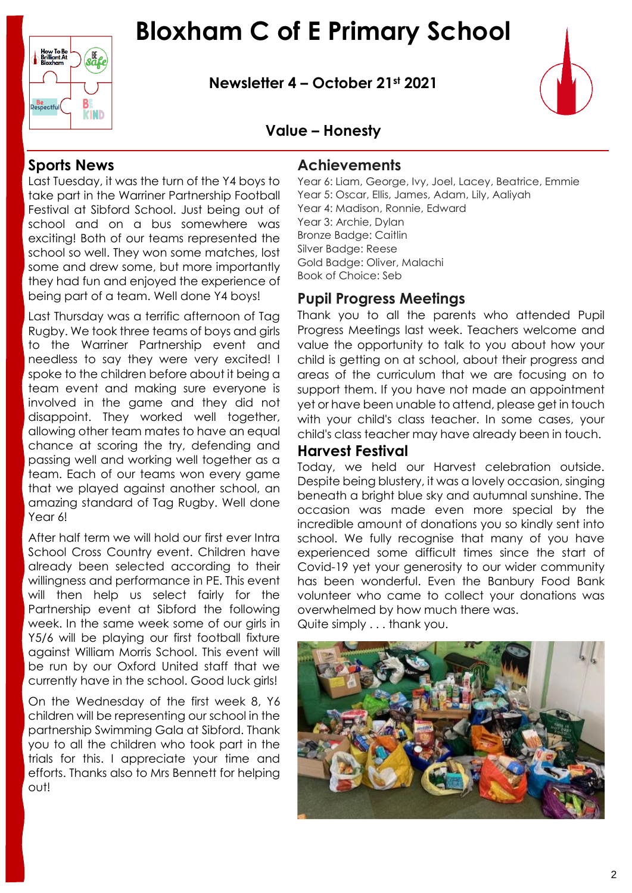

**Newsletter 4 – October 21st 2021**



## **Value – Honesty**

### **Sports News**

B.

**KIND** 

How To Be<br>Brilliant At

**Be**<br>Respectful

Last Tuesday, it was the turn of the Y4 boys to take part in the Warriner Partnership Football Festival at Sibford School. Just being out of school and on a bus somewhere was exciting! Both of our teams represented the school so well. They won some matches, lost some and drew some, but more importantly they had fun and enjoyed the experience of being part of a team. Well done Y4 boys!

Last Thursday was a terrific afternoon of Tag Rugby. We took three teams of boys and girls to the Warriner Partnership event and needless to say they were very excited! I spoke to the children before about it being a team event and making sure everyone is involved in the game and they did not disappoint. They worked well together, allowing other team mates to have an equal chance at scoring the try, defending and passing well and working well together as a team. Each of our teams won every game that we played against another school, an amazing standard of Tag Rugby. Well done Year 6!

After half term we will hold our first ever Intra School Cross Country event. Children have already been selected according to their willingness and performance in PE. This event will then help us select fairly for the Partnership event at Sibford the following week. In the same week some of our girls in Y5/6 will be playing our first football fixture against William Morris School. This event will be run by our Oxford United staff that we currently have in the school. Good luck girls!

On the Wednesday of the first week 8, Y6 children will be representing our school in the partnership Swimming Gala at Sibford. Thank you to all the children who took part in the trials for this. I appreciate your time and efforts. Thanks also to Mrs Bennett for helping out!

#### **Achievements**

Year 6: Liam, George, Ivy, Joel, Lacey, Beatrice, Emmie Year 5: Oscar, Ellis, James, Adam, Lily, Aaliyah Year 4: Madison, Ronnie, Edward Year 3: Archie, Dylan Bronze Badge: Caitlin Silver Badge: Reese Gold Badge: Oliver, Malachi Book of Choice: Seb

### **Pupil Progress Meetings**

Thank you to all the parents who attended Pupil Progress Meetings last week. Teachers welcome and value the opportunity to talk to you about how your child is getting on at school, about their progress and areas of the curriculum that we are focusing on to support them. If you have not made an appointment yet or have been unable to attend, please get in touch with your child's class teacher. In some cases, your child's class teacher may have already been in touch.

#### **Harvest Festival**

Today, we held our Harvest celebration outside. Despite being blustery, it was a lovely occasion, singing beneath a bright blue sky and autumnal sunshine. The occasion was made even more special by the incredible amount of donations you so kindly sent into school. We fully recognise that many of you have experienced some difficult times since the start of Covid-19 yet your generosity to our wider community has been wonderful. Even the Banbury Food Bank volunteer who came to collect your donations was overwhelmed by how much there was. Quite simply . . . thank you.